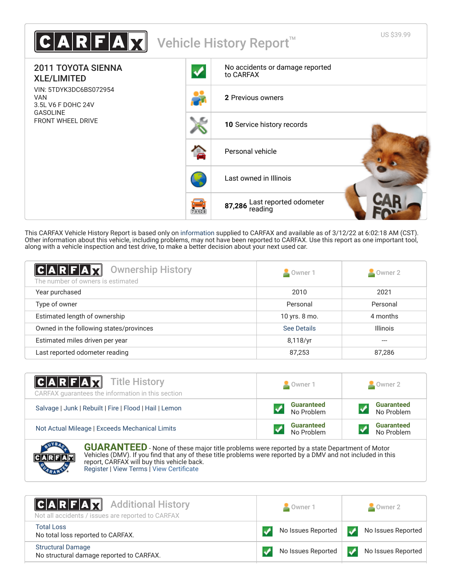

This CARFAX Vehicle History Report is based only on [information](http://www.carfax.com/company/vhr-data-sources) supplied to CARFAX and available as of 3/12/22 at 6:02:18 AM (CST). Other information about this vehicle, including problems, may not have been reported to CARFAX. Use this report as one important tool, along with a vehicle inspection and test drive, to make a better decision about your next used car.

<span id="page-0-1"></span>

| $ C A R F A \chi $<br><b>Ownership History</b><br>The number of owners is estimated | Owner 1                   | $\triangle$ Owner 2 |
|-------------------------------------------------------------------------------------|---------------------------|---------------------|
| Year purchased                                                                      | 2010                      | 2021                |
| Type of owner                                                                       | Personal                  | Personal            |
| Estimated length of ownership                                                       | 4 months<br>10 yrs. 8 mo. |                     |
| Owned in the following states/provinces                                             | See Details               | <b>Illinois</b>     |
| Estimated miles driven per year                                                     | 8,118/yr                  |                     |
| Last reported odometer reading                                                      | 87,253                    | 87,286              |

| <b>CARFAX</b> Title History<br>CARFAX quarantees the information in this section | Owner 1                         | Owner 2                         |
|----------------------------------------------------------------------------------|---------------------------------|---------------------------------|
| Salvage   Junk   Rebuilt   Fire   Flood   Hail   Lemon                           | <b>Guaranteed</b><br>No Problem | <b>Guaranteed</b><br>No Problem |
| Not Actual Mileage   Exceeds Mechanical Limits                                   | <b>Guaranteed</b><br>No Problem | <b>Guaranteed</b><br>No Problem |
| ____                                                                             |                                 |                                 |



**GUARANTEED** - None of these major title problems were reported by a state Department of Motor Vehicles (DMV). If you find that any of these title problems were reported by a DMV and not included in this report, CARFAX will buy this vehicle back. [Register](https://www.carfax.com/Service/bbg) | [View Terms](http://www.carfaxonline.com/legal/bbgTerms) | [View Certificate](https://www.carfaxonline.com/vhrs/5TDYK3DC6BS072954)

<span id="page-0-0"></span>

| <b>CARFAX</b> Additional History<br>Not all accidents / issues are reported to CARFAX | $\sim$ Owner 1     | $\sim$ Owner 2     |
|---------------------------------------------------------------------------------------|--------------------|--------------------|
| <b>Total Loss</b><br>No total loss reported to CARFAX.                                | No Issues Reported | No Issues Reported |
| <b>Structural Damage</b><br>No structural damage reported to CARFAX.                  | No Issues Reported | No Issues Reported |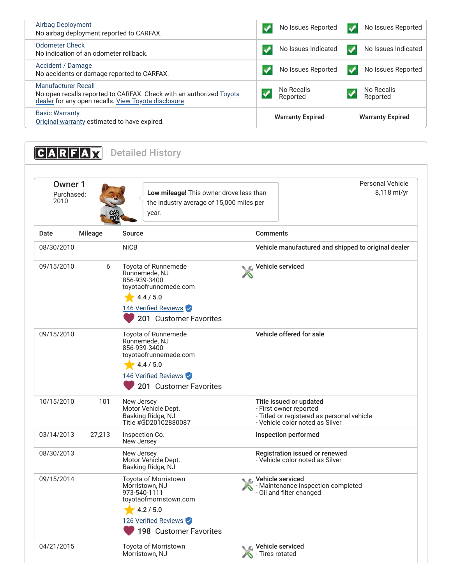| <b>Airbag Deployment</b><br>No airbag deployment reported to CARFAX.                                                                                     | No Issues Reported                                 | No Issues Reported     |
|----------------------------------------------------------------------------------------------------------------------------------------------------------|----------------------------------------------------|------------------------|
| Odometer Check<br>No indication of an odometer rollback.                                                                                                 | No Issues Indicated                                | No Issues Indicated    |
| Accident / Damage<br>No accidents or damage reported to CARFAX.                                                                                          | No Issues Reported                                 | No Issues Reported     |
| <b>Manufacturer Recall</b><br>No open recalls reported to CARFAX. Check with an authorized Toyota<br>dealer for any open recalls. View Toyota disclosure | No Recalls<br>Reported                             | No Recalls<br>Reported |
| <b>Basic Warranty</b><br>Original warranty estimated to have expired.                                                                                    | <b>Warranty Expired</b><br><b>Warranty Expired</b> |                        |

<span id="page-1-1"></span><span id="page-1-0"></span>

| $C A R F A \chi$              |                | <b>Detailed History</b>                                                                                                                         |                                                                                                                                    |
|-------------------------------|----------------|-------------------------------------------------------------------------------------------------------------------------------------------------|------------------------------------------------------------------------------------------------------------------------------------|
| Owner 1<br>Purchased:<br>2010 |                | Low mileage! This owner drove less than<br>the industry average of 15,000 miles per<br>year.                                                    | <b>Personal Vehicle</b><br>8,118 mi/yr                                                                                             |
| Date                          | <b>Mileage</b> | Source                                                                                                                                          | <b>Comments</b>                                                                                                                    |
| 08/30/2010                    |                | <b>NICB</b>                                                                                                                                     | Vehicle manufactured and shipped to original dealer                                                                                |
| 09/15/2010                    | 6              | Toyota of Runnemede<br>Runnemede, NJ<br>856-939-3400<br>toyotaofrunnemede.com<br>4.4 / 5.0<br>146 Verified Reviews<br>201 Customer Favorites    | Vehicle serviced                                                                                                                   |
| 09/15/2010                    |                | Toyota of Runnemede<br>Runnemede, NJ<br>856-939-3400<br>toyotaofrunnemede.com<br>4.4 / 5.0<br>146 Verified Reviews<br>201 Customer Favorites    | Vehicle offered for sale                                                                                                           |
| 10/15/2010                    | 101            | New Jersey<br>Motor Vehicle Dept.<br>Basking Ridge, NJ<br>Title #GD20102880087                                                                  | Title issued or updated<br>- First owner reported<br>- Titled or registered as personal vehicle<br>- Vehicle color noted as Silver |
| 03/14/2013                    | 27,213         | Inspection Co.<br>New Jersey                                                                                                                    | Inspection performed                                                                                                               |
| 08/30/2013                    |                | New Jersey<br>Motor Vehícle Dept.<br>Basking Ridge, NJ                                                                                          | Registration issued or renewed<br>- Vehicle color noted as Silver                                                                  |
| 09/15/2014                    |                | Toyota of Morristown<br>Morristown, NJ<br>973-540-1111<br>toyotaofmorristown.com<br>4.2 / 5.0<br>126 Verified Reviews<br>198 Customer Favorites | Vehicle serviced<br>- Maintenance inspection completed<br>- Oil and filter changed                                                 |
| 04/21/2015                    |                | Toyota of Morristown<br>Morristown, NJ                                                                                                          | Vehicle serviced<br>- Tires rotated                                                                                                |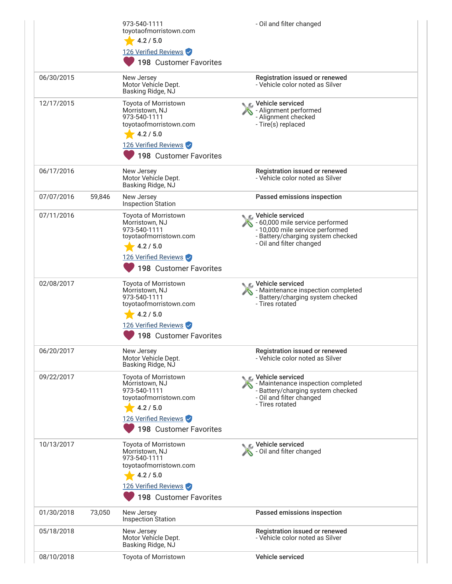|            |        | 973-540-1111<br>toyotaofmorristown.com<br>4.2 / 5.0<br>126 Verified Reviews<br>198 Customer Favorites                                           | - Oil and filter changed                                                                                                                                  |
|------------|--------|-------------------------------------------------------------------------------------------------------------------------------------------------|-----------------------------------------------------------------------------------------------------------------------------------------------------------|
| 06/30/2015 |        | New Jersey<br>Motor Vehicle Dept.<br>Basking Ridge, NJ                                                                                          | Registration issued or renewed<br>- Vehicle color noted as Silver                                                                                         |
| 12/17/2015 |        | Toyota of Morristown<br>Morristown, NJ<br>973-540-1111<br>toyotaofmorristown.com<br>4.2 / 5.0<br>126 Verified Reviews<br>198 Customer Favorites | ⊾ Vehicle serviced<br>- Alignment performed<br>- Alignment checked<br>- Tire(s) replaced                                                                  |
| 06/17/2016 |        | New Jersey<br>Motor Vehicle Dept.<br>Basking Ridge, NJ                                                                                          | Registration issued or renewed<br>- Vehicle color noted as Silver                                                                                         |
| 07/07/2016 | 59,846 | New Jersey<br><b>Inspection Station</b>                                                                                                         | Passed emissions inspection                                                                                                                               |
| 07/11/2016 |        | Toyota of Morristown<br>Morristown, NJ<br>973-540-1111<br>toyotaofmorristown.com<br>4.2 / 5.0<br>126 Verified Reviews<br>198 Customer Favorites | C Vehicle serviced<br>- 60,000 mile service performed<br>- 10,000 mile service performed<br>- Battery/charging system checked<br>- Oil and filter changed |
| 02/08/2017 |        | Toyota of Morristown<br>Morristown, NJ<br>973-540-1111<br>toyotaofmorristown.com<br>4.2 / 5.0<br>126 Verified Reviews<br>198 Customer Favorites | C Vehicle serviced<br>- Maintenance inspection completed<br>- Battery/charging system checked<br>- Tires rotated                                          |
| 06/20/2017 |        | New Jersey<br>Motor Vehicle Dept.<br>Basking Ridge, NJ                                                                                          | Registration issued or renewed<br>- Vehicle color noted as Silver                                                                                         |
| 09/22/2017 |        | Toyota of Morristown<br>Morristown, NJ<br>973-540-1111<br>toyotaofmorristown.com<br>4.2 / 5.0<br>126 Verified Reviews<br>198 Customer Favorites | C Vehicle serviced<br>- Maintenance inspection completed<br>- Battery/charging system checked<br>- Oil and filter changed<br>- Tires rotated              |
| 10/13/2017 |        | Toyota of Morristown<br>Morristown, NJ<br>973-540-1111<br>toyotaofmorristown.com<br>4.2 / 5.0<br>126 Verified Reviews<br>198 Customer Favorites | Vehicle serviced<br>- Oil and filter changed                                                                                                              |
| 01/30/2018 | 73,050 | New Jersey<br>Inspection Station                                                                                                                | Passed emissions inspection                                                                                                                               |
| 05/18/2018 |        | New Jersey<br>Motor Vehicle Dept.<br>Basking Ridge, NJ                                                                                          | Registration issued or renewed<br>- Vehicle color noted as Silver                                                                                         |
| 08/10/2018 |        | Toyota of Morristown                                                                                                                            | Vehicle serviced                                                                                                                                          |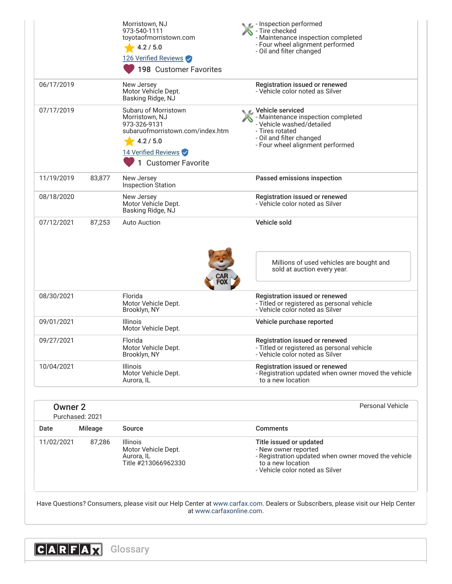| 11/02/2021     | 87,286          | <b>Illinois</b><br>Motor Vehicle Dept.<br>Aurora, IL<br>Title #213066962330                                                                           | Title issued or updated<br>- New owner reported<br>- Registration updated when owner moved the vehicle<br>to a new location<br>- Vehicle color noted as Silver            |
|----------------|-----------------|-------------------------------------------------------------------------------------------------------------------------------------------------------|---------------------------------------------------------------------------------------------------------------------------------------------------------------------------|
| Date           | <b>Mileage</b>  | <b>Source</b>                                                                                                                                         | <b>Comments</b>                                                                                                                                                           |
|                | Purchased: 2021 |                                                                                                                                                       |                                                                                                                                                                           |
| <b>Owner 2</b> |                 |                                                                                                                                                       | Personal Vehicle                                                                                                                                                          |
| 10/04/2021     |                 | Illinois<br>Motor Vehicle Dept.<br>Aurora, IL                                                                                                         | Registration issued or renewed<br>- Registration updated when owner moved the vehicle<br>to a new location                                                                |
| 09/27/2021     |                 | Florida<br>Motor Vehicle Dept.<br>Brooklyn, NY                                                                                                        | Registration issued or renewed<br>- Titled or registered as personal vehicle<br>- Vehicle color noted as Silver                                                           |
| 09/01/2021     |                 | <b>Illinois</b><br>Motor Vehicle Dept.                                                                                                                | Vehicle purchase reported                                                                                                                                                 |
| 08/30/2021     |                 | Florida<br>Motor Vehicle Dept.<br>Brooklyn, NY                                                                                                        | Registration issued or renewed<br>- Titled or registered as personal vehicle<br>- Vehicle color noted as Silver                                                           |
| 07/12/2021     | 87,253          | <b>Auto Auction</b>                                                                                                                                   | Millions of used vehicles are bought and<br>sold at auction every year.                                                                                                   |
|                |                 | Basking Ridge, NJ                                                                                                                                     | Vehicle sold                                                                                                                                                              |
| 08/18/2020     |                 | New Jersey<br>Motor Vehicle Dept.                                                                                                                     | Registration issued or renewed<br>- Vehicle color noted as Silver                                                                                                         |
| 11/19/2019     | 83,877          | New Jersey<br><b>Inspection Station</b>                                                                                                               | Passed emissions inspection                                                                                                                                               |
| 07/17/2019     |                 | Subaru of Morristown<br>Morristown, NJ<br>973-326-9131<br>subaruofmorristown.com/index.htm<br>4.2 / 5.0<br>14 Verified Reviews<br>1 Customer Favorite | C. Vehicle serviced<br>- Maintenance inspection completed<br>- Vehicle washed/detailed<br>- Tires rotated<br>- Oil and filter changed<br>- Four wheel alignment performed |
| 06/17/2019     |                 | New Jersey<br>Motor Vehicle Dept.<br>Basking Ridge, NJ                                                                                                | Registration issued or renewed<br>- Vehicle color noted as Silver                                                                                                         |
|                |                 | Morristown, NJ<br>973-540-1111<br>toyotaofmorristown.com<br>4.2 / 5.0<br>126 Verified Reviews<br>198 Customer Favorites                               | $\epsilon$ - Inspection performed<br>- Tire checked<br>- Maintenance inspection completed<br>- Four wheel alignment performed<br>- Oil and filter changed                 |

<span id="page-3-0"></span>at [www.carfaxonline.com.](http://www.carfaxonline.com/)

**CARFAX** Glossary